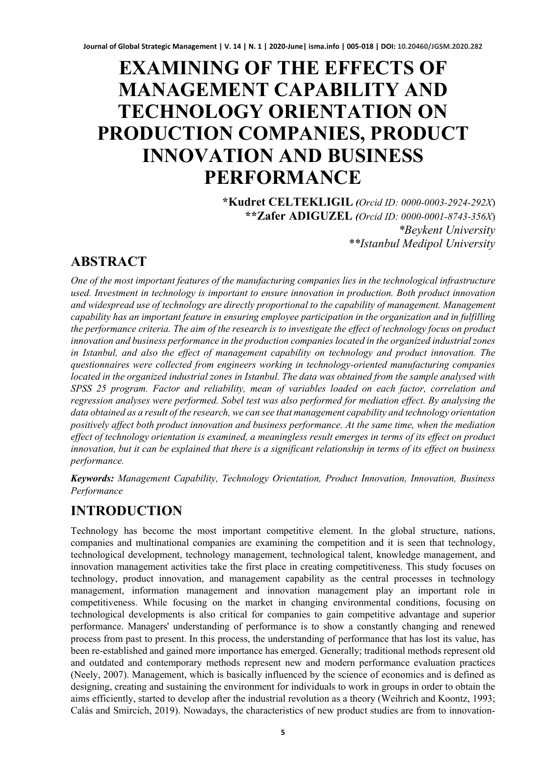# **EXAMINING OF THE EFFECTS OF MANAGEMENT CAPABILITY AND TECHNOLOGY ORIENTATION ON PRODUCTION COMPANIES, PRODUCT INNOVATION AND BUSINESS PERFORMANCE**

**\*Kudret CELTEKLIGIL** *(Orcid ID: 0000-0003-2924-292X*) **\*\*Zafer ADIGUZEL** *(Orcid ID: 0000-0001-8743-356X*) *\*Beykent University \*\*Istanbul Medipol University* 

# **ABSTRACT**

*One of the most important features of the manufacturing companies lies in the technological infrastructure used. Investment in technology is important to ensure innovation in production. Both product innovation*  and widespread use of technology are directly proportional to the capability of management. Management *capability has an important feature in ensuring employee participation in the organization and in fulfilling the performance criteria. The aim of the research is to investigate the effect of technology focus on product innovation and business performance in the production companies located in the organized industrial zones in Istanbul, and also the effect of management capability on technology and product innovation. The questionnaires were collected from engineers working in technology-oriented manufacturing companies located in the organized industrial zones in Istanbul. The data was obtained from the sample analysed with SPSS 25 program. Factor and reliability, mean of variables loaded on each factor, correlation and regression analyses were performed. Sobel test was also performed for mediation effect. By analysing the data obtained as a result of the research, we can see that management capability and technology orientation positively affect both product innovation and business performance. At the same time, when the mediation effect of technology orientation is examined, a meaningless result emerges in terms of its effect on product innovation, but it can be explained that there is a significant relationship in terms of its effect on business performance.*

*Keywords: Management Capability, Technology Orientation, Product Innovation, Innovation, Business Performance*

# **INTRODUCTION**

Technology has become the most important competitive element. In the global structure, nations, companies and multinational companies are examining the competition and it is seen that technology, technological development, technology management, technological talent, knowledge management, and innovation management activities take the first place in creating competitiveness. This study focuses on technology, product innovation, and management capability as the central processes in technology management, information management and innovation management play an important role in competitiveness. While focusing on the market in changing environmental conditions, focusing on technological developments is also critical for companies to gain competitive advantage and superior performance. Managers' understanding of performance is to show a constantly changing and renewed process from past to present. In this process, the understanding of performance that has lost its value, has been re-established and gained more importance has emerged. Generally; traditional methods represent old and outdated and contemporary methods represent new and modern performance evaluation practices (Neely, 2007). Management, which is basically influenced by the science of economics and is defined as designing, creating and sustaining the environment for individuals to work in groups in order to obtain the aims efficiently, started to develop after the industrial revolution as a theory (Weihrich and Koontz, 1993; Calás and Smircich, 2019). Nowadays, the characteristics of new product studies are from to innovation-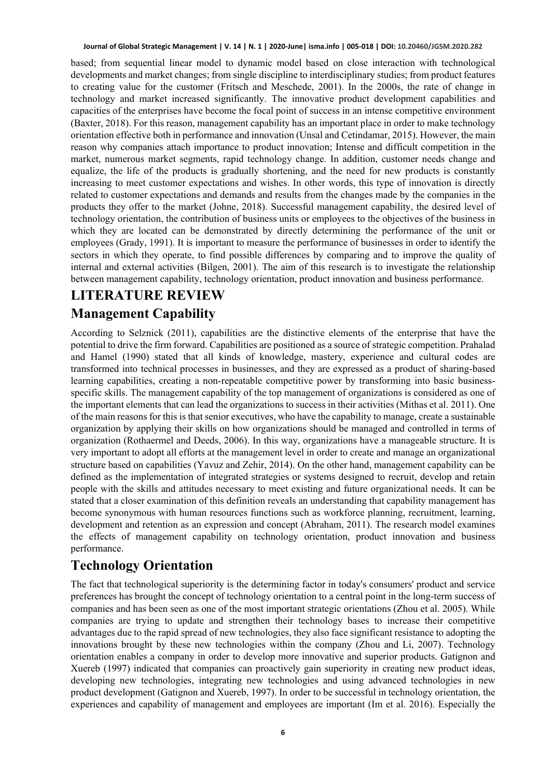based; from sequential linear model to dynamic model based on close interaction with technological developments and market changes; from single discipline to interdisciplinary studies; from product features to creating value for the customer (Fritsch and Meschede, 2001). In the 2000s, the rate of change in technology and market increased significantly. The innovative product development capabilities and capacities of the enterprises have become the focal point of success in an intense competitive environment (Baxter, 2018). For this reason, management capability has an important place in order to make technology orientation effective both in performance and innovation (Unsal and Cetindamar, 2015). However, the main reason why companies attach importance to product innovation; Intense and difficult competition in the market, numerous market segments, rapid technology change. In addition, customer needs change and equalize, the life of the products is gradually shortening, and the need for new products is constantly increasing to meet customer expectations and wishes. In other words, this type of innovation is directly related to customer expectations and demands and results from the changes made by the companies in the products they offer to the market (Johne, 2018). Successful management capability, the desired level of technology orientation, the contribution of business units or employees to the objectives of the business in which they are located can be demonstrated by directly determining the performance of the unit or employees (Grady, 1991). It is important to measure the performance of businesses in order to identify the sectors in which they operate, to find possible differences by comparing and to improve the quality of internal and external activities (Bilgen, 2001). The aim of this research is to investigate the relationship between management capability, technology orientation, product innovation and business performance.

# **LITERATURE REVIEW Management Capability**

According to Selznick (2011), capabilities are the distinctive elements of the enterprise that have the potential to drive the firm forward. Capabilities are positioned as a source of strategic competition. Prahalad and Hamel (1990) stated that all kinds of knowledge, mastery, experience and cultural codes are transformed into technical processes in businesses, and they are expressed as a product of sharing-based learning capabilities, creating a non-repeatable competitive power by transforming into basic businessspecific skills. The management capability of the top management of organizations is considered as one of the important elements that can lead the organizations to success in their activities (Mithas et al. 2011). One of the main reasons for this is that senior executives, who have the capability to manage, create a sustainable organization by applying their skills on how organizations should be managed and controlled in terms of organization (Rothaermel and Deeds, 2006). In this way, organizations have a manageable structure. It is very important to adopt all efforts at the management level in order to create and manage an organizational structure based on capabilities (Yavuz and Zehir, 2014). On the other hand, management capability can be defined as the implementation of integrated strategies or systems designed to recruit, develop and retain people with the skills and attitudes necessary to meet existing and future organizational needs. It can be stated that a closer examination of this definition reveals an understanding that capability management has become synonymous with human resources functions such as workforce planning, recruitment, learning, development and retention as an expression and concept (Abraham, 2011). The research model examines the effects of management capability on technology orientation, product innovation and business performance.

# **Technology Orientation**

The fact that technological superiority is the determining factor in today's consumers' product and service preferences has brought the concept of technology orientation to a central point in the long-term success of companies and has been seen as one of the most important strategic orientations (Zhou et al. 2005). While companies are trying to update and strengthen their technology bases to increase their competitive advantages due to the rapid spread of new technologies, they also face significant resistance to adopting the innovations brought by these new technologies within the company (Zhou and Li, 2007). Technology orientation enables a company in order to develop more innovative and superior products. Gatignon and Xuereb (1997) indicated that companies can proactively gain superiority in creating new product ideas, developing new technologies, integrating new technologies and using advanced technologies in new product development (Gatignon and Xuereb, 1997). In order to be successful in technology orientation, the experiences and capability of management and employees are important (Im et al. 2016). Especially the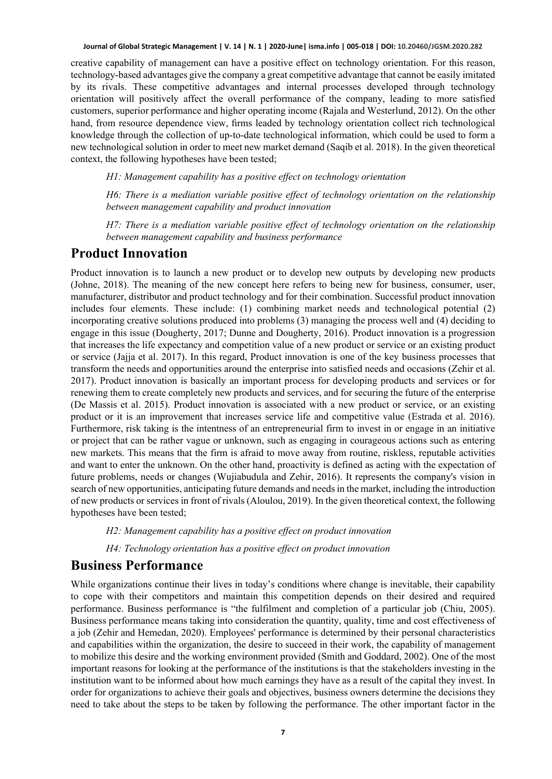creative capability of management can have a positive effect on technology orientation. For this reason, technology-based advantages give the company a great competitive advantage that cannot be easily imitated by its rivals. These competitive advantages and internal processes developed through technology orientation will positively affect the overall performance of the company, leading to more satisfied customers, superior performance and higher operating income (Rajala and Westerlund, 2012). On the other hand, from resource dependence view, firms leaded by technology orientation collect rich technological knowledge through the collection of up-to-date technological information, which could be used to form a new technological solution in order to meet new market demand (Saqib et al. 2018). In the given theoretical context, the following hypotheses have been tested;

*H1: Management capability has a positive effect on technology orientation*

*H6: There is a mediation variable positive effect of technology orientation on the relationship between management capability and product innovation*

*H7: There is a mediation variable positive effect of technology orientation on the relationship between management capability and business performance*

#### **Product Innovation**

Product innovation is to launch a new product or to develop new outputs by developing new products (Johne, 2018). The meaning of the new concept here refers to being new for business, consumer, user, manufacturer, distributor and product technology and for their combination. Successful product innovation includes four elements. These include: (1) combining market needs and technological potential (2) incorporating creative solutions produced into problems (3) managing the process well and (4) deciding to engage in this issue (Dougherty, 2017; Dunne and Dougherty, 2016). Product innovation is a progression that increases the life expectancy and competition value of a new product or service or an existing product or service (Jajja et al. 2017). In this regard, Product innovation is one of the key business processes that transform the needs and opportunities around the enterprise into satisfied needs and occasions (Zehir et al. 2017). Product innovation is basically an important process for developing products and services or for renewing them to create completely new products and services, and for securing the future of the enterprise (De Massis et al. 2015). Product innovation is associated with a new product or service, or an existing product or it is an improvement that increases service life and competitive value (Estrada et al. 2016). Furthermore, risk taking is the intentness of an entrepreneurial firm to invest in or engage in an initiative or project that can be rather vague or unknown, such as engaging in courageous actions such as entering new markets. This means that the firm is afraid to move away from routine, riskless, reputable activities and want to enter the unknown. On the other hand, proactivity is defined as acting with the expectation of future problems, needs or changes (Wujiabudula and Zehir, 2016). It represents the company's vision in search of new opportunities, anticipating future demands and needs in the market, including the introduction of new products or services in front of rivals (Aloulou, 2019). In the given theoretical context, the following hypotheses have been tested;

*H2: Management capability has a positive effect on product innovation*

*H4: Technology orientation has a positive effect on product innovation*

### **Business Performance**

While organizations continue their lives in today's conditions where change is inevitable, their capability to cope with their competitors and maintain this competition depends on their desired and required performance. Business performance is "the fulfilment and completion of a particular job (Chiu, 2005). Business performance means taking into consideration the quantity, quality, time and cost effectiveness of a job (Zehir and Hemedan, 2020). Employees' performance is determined by their personal characteristics and capabilities within the organization, the desire to succeed in their work, the capability of management to mobilize this desire and the working environment provided (Smith and Goddard, 2002). One of the most important reasons for looking at the performance of the institutions is that the stakeholders investing in the institution want to be informed about how much earnings they have as a result of the capital they invest. In order for organizations to achieve their goals and objectives, business owners determine the decisions they need to take about the steps to be taken by following the performance. The other important factor in the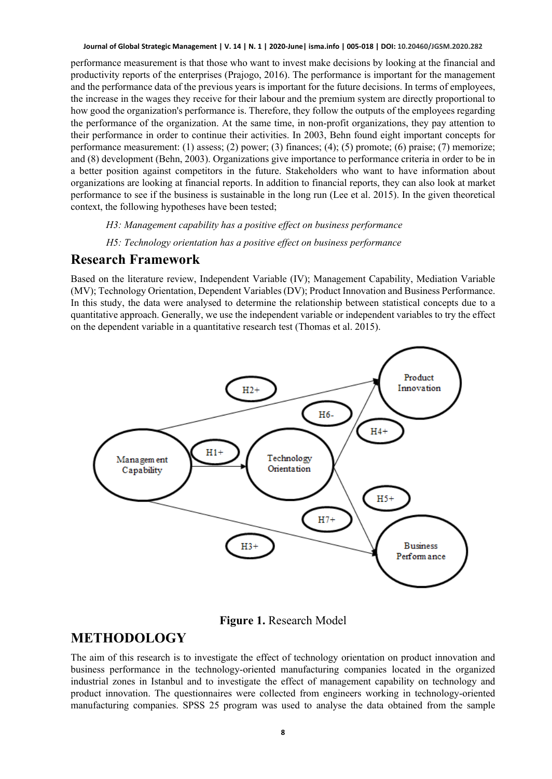performance measurement is that those who want to invest make decisions by looking at the financial and productivity reports of the enterprises (Prajogo, 2016). The performance is important for the management and the performance data of the previous years is important for the future decisions. In terms of employees, the increase in the wages they receive for their labour and the premium system are directly proportional to how good the organization's performance is. Therefore, they follow the outputs of the employees regarding the performance of the organization. At the same time, in non-profit organizations, they pay attention to their performance in order to continue their activities. In 2003, Behn found eight important concepts for performance measurement: (1) assess; (2) power; (3) finances; (4); (5) promote; (6) praise; (7) memorize; and (8) development (Behn, 2003). Organizations give importance to performance criteria in order to be in a better position against competitors in the future. Stakeholders who want to have information about organizations are looking at financial reports. In addition to financial reports, they can also look at market performance to see if the business is sustainable in the long run (Lee et al. 2015). In the given theoretical context, the following hypotheses have been tested;

*H3: Management capability has a positive effect on business performance*

*H5: Technology orientation has a positive effect on business performance*

#### **Research Framework**

Based on the literature review, Independent Variable (IV); Management Capability, Mediation Variable (MV); Technology Orientation, Dependent Variables (DV); Product Innovation and Business Performance. In this study, the data were analysed to determine the relationship between statistical concepts due to a quantitative approach. Generally, we use the independent variable or independent variables to try the effect on the dependent variable in a quantitative research test (Thomas et al. 2015).



**Figure 1.** Research Model

### **METHODOLOGY**

The aim of this research is to investigate the effect of technology orientation on product innovation and business performance in the technology-oriented manufacturing companies located in the organized industrial zones in Istanbul and to investigate the effect of management capability on technology and product innovation. The questionnaires were collected from engineers working in technology-oriented manufacturing companies. SPSS 25 program was used to analyse the data obtained from the sample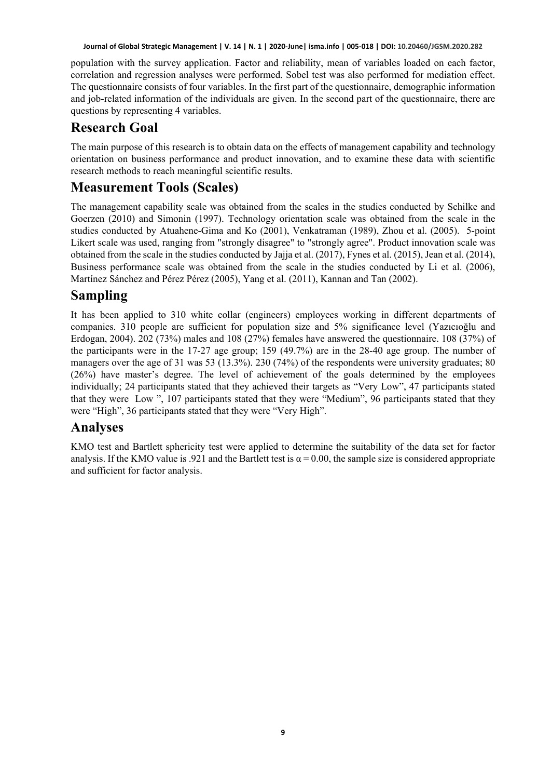population with the survey application. Factor and reliability, mean of variables loaded on each factor, correlation and regression analyses were performed. Sobel test was also performed for mediation effect. The questionnaire consists of four variables. In the first part of the questionnaire, demographic information and job-related information of the individuals are given. In the second part of the questionnaire, there are questions by representing 4 variables.

### **Research Goal**

The main purpose of this research is to obtain data on the effects of management capability and technology orientation on business performance and product innovation, and to examine these data with scientific research methods to reach meaningful scientific results.

# **Measurement Tools (Scales)**

The management capability scale was obtained from the scales in the studies conducted by Schilke and Goerzen (2010) and Simonin (1997). Technology orientation scale was obtained from the scale in the studies conducted by Atuahene-Gima and Ko (2001), Venkatraman (1989), Zhou et al. (2005). 5-point Likert scale was used, ranging from "strongly disagree" to "strongly agree". Product innovation scale was obtained from the scale in the studies conducted by Jajja et al. (2017), Fynes et al. (2015), Jean et al. (2014), Business performance scale was obtained from the scale in the studies conducted by Li et al. (2006), Martínez Sánchez and Pérez Pérez (2005), Yang et al. (2011), Kannan and Tan (2002).

# **Sampling**

It has been applied to 310 white collar (engineers) employees working in different departments of companies. 310 people are sufficient for population size and 5% significance level (Yazıcıoğlu and Erdogan, 2004). 202 (73%) males and 108 (27%) females have answered the questionnaire. 108 (37%) of the participants were in the 17-27 age group; 159 (49.7%) are in the 28-40 age group. The number of managers over the age of 31 was 53 (13.3%). 230 (74%) of the respondents were university graduates; 80 (26%) have master's degree. The level of achievement of the goals determined by the employees individually; 24 participants stated that they achieved their targets as "Very Low", 47 participants stated that they were Low ", 107 participants stated that they were "Medium", 96 participants stated that they were "High", 36 participants stated that they were "Very High".

### **Analyses**

KMO test and Bartlett sphericity test were applied to determine the suitability of the data set for factor analysis. If the KMO value is .921 and the Bartlett test is  $\alpha = 0.00$ , the sample size is considered appropriate and sufficient for factor analysis.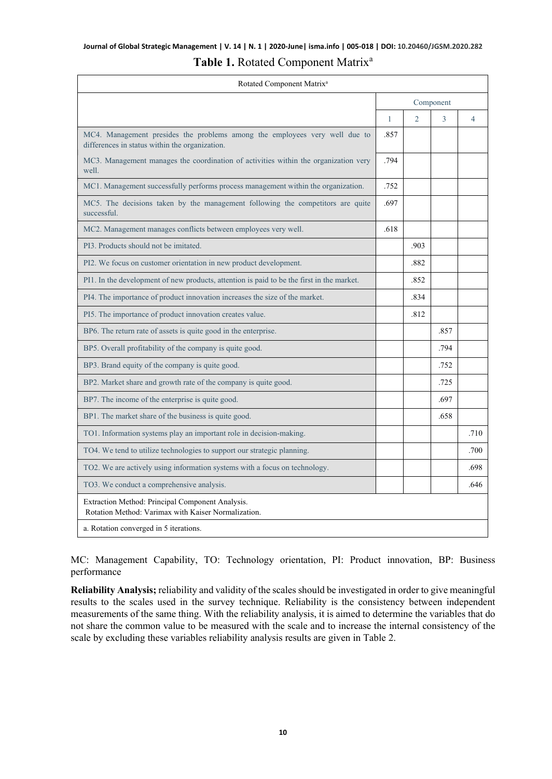### **Journal of Global Strategic Management | V. 14 | N. 1 | 2020-June| isma.info | 005-018 | DOI: 10.20460/JGSM.2020.282** Table 1. Rotated Component Matrix<sup>a</sup>

| Rotated Component Matrix <sup>a</sup>                                                                                        |              |      |      |                |  |  |
|------------------------------------------------------------------------------------------------------------------------------|--------------|------|------|----------------|--|--|
|                                                                                                                              | Component    |      |      |                |  |  |
|                                                                                                                              | $\mathbf{1}$ | 2    | 3    | $\overline{4}$ |  |  |
| MC4. Management presides the problems among the employees very well due to<br>differences in status within the organization. | .857         |      |      |                |  |  |
| MC3. Management manages the coordination of activities within the organization very<br>well.                                 | .794         |      |      |                |  |  |
| MC1. Management successfully performs process management within the organization.                                            | .752         |      |      |                |  |  |
| MC5. The decisions taken by the management following the competitors are quite<br>successful.                                | .697         |      |      |                |  |  |
| MC2. Management manages conflicts between employees very well.                                                               | .618         |      |      |                |  |  |
| PI3. Products should not be imitated.                                                                                        |              | .903 |      |                |  |  |
| PI2. We focus on customer orientation in new product development.                                                            |              | .882 |      |                |  |  |
| PI1. In the development of new products, attention is paid to be the first in the market.                                    |              | .852 |      |                |  |  |
| PI4. The importance of product innovation increases the size of the market.                                                  |              | .834 |      |                |  |  |
| PI5. The importance of product innovation creates value.                                                                     |              | .812 |      |                |  |  |
| BP6. The return rate of assets is quite good in the enterprise.                                                              |              |      | .857 |                |  |  |
| BP5. Overall profitability of the company is quite good.                                                                     |              |      | .794 |                |  |  |
| BP3. Brand equity of the company is quite good.                                                                              |              |      | .752 |                |  |  |
| BP2. Market share and growth rate of the company is quite good.                                                              |              |      | .725 |                |  |  |
| BP7. The income of the enterprise is quite good.                                                                             |              |      | .697 |                |  |  |
| BP1. The market share of the business is quite good.                                                                         |              |      | .658 |                |  |  |
| TO1. Information systems play an important role in decision-making.                                                          |              |      |      | .710           |  |  |
| TO4. We tend to utilize technologies to support our strategic planning.                                                      |              |      |      | .700           |  |  |
| TO2. We are actively using information systems with a focus on technology.                                                   |              |      |      | .698           |  |  |
| TO3. We conduct a comprehensive analysis.                                                                                    |              |      |      | .646           |  |  |
| Extraction Method: Principal Component Analysis.<br>Rotation Method: Varimax with Kaiser Normalization.                      |              |      |      |                |  |  |
| a. Rotation converged in 5 iterations.                                                                                       |              |      |      |                |  |  |

MC: Management Capability, TO: Technology orientation, PI: Product innovation, BP: Business performance

**Reliability Analysis;** reliability and validity of the scales should be investigated in order to give meaningful results to the scales used in the survey technique. Reliability is the consistency between independent measurements of the same thing. With the reliability analysis, it is aimed to determine the variables that do not share the common value to be measured with the scale and to increase the internal consistency of the scale by excluding these variables reliability analysis results are given in Table 2.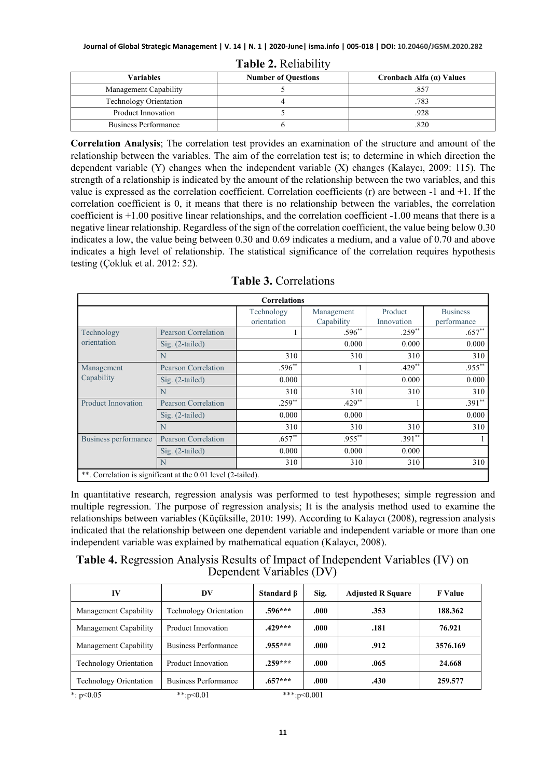| Variables                     | <b>Number of Questions</b> | Cronbach Alfa $(a)$ Values |
|-------------------------------|----------------------------|----------------------------|
| Management Capability         |                            | 857                        |
| <b>Technology Orientation</b> |                            | .783                       |
| Product Innovation            |                            | .928                       |
| Business Performance          |                            | 820                        |

**Table 2.** Reliability

**Correlation Analysis**; The correlation test provides an examination of the structure and amount of the relationship between the variables. The aim of the correlation test is; to determine in which direction the dependent variable (Y) changes when the independent variable (X) changes (Kalaycı, 2009: 115). The strength of a relationship is indicated by the amount of the relationship between the two variables, and this value is expressed as the correlation coefficient. Correlation coefficients (r) are between -1 and +1. If the correlation coefficient is 0, it means that there is no relationship between the variables, the correlation coefficient is +1.00 positive linear relationships, and the correlation coefficient -1.00 means that there is a negative linear relationship. Regardless of the sign of the correlation coefficient, the value being below 0.30 indicates a low, the value being between 0.30 and 0.69 indicates a medium, and a value of 0.70 and above indicates a high level of relationship. The statistical significance of the correlation requires hypothesis testing (Çokluk et al. 2012: 52).

| <b>Correlations</b>       |                                                              |             |            |            |                 |  |  |
|---------------------------|--------------------------------------------------------------|-------------|------------|------------|-----------------|--|--|
|                           |                                                              | Technology  | Management | Product    | <b>Business</b> |  |  |
|                           |                                                              | orientation | Capability | Innovation | performance     |  |  |
| Technology                | <b>Pearson Correlation</b>                                   |             | $.596**$   | $.259**$   | $.657**$        |  |  |
| orientation               | $Sig. (2-tailed)$                                            |             | 0.000      | 0.000      | 0.000           |  |  |
|                           | N                                                            | 310         | 310        | 310        | 310             |  |  |
| Management                | <b>Pearson Correlation</b>                                   | $.596**$    |            | $.429**$   | $.955***$       |  |  |
| Capability                | $Sig. (2-tailed)$                                            | 0.000       |            | 0.000      | 0.000           |  |  |
|                           | N                                                            | 310         | 310        | 310        | 310             |  |  |
| <b>Product Innovation</b> | Pearson Correlation                                          | $.259**$    | $.429**$   |            | $.391**$        |  |  |
|                           | $Sig. (2-tailed)$                                            | 0.000       | 0.000      |            | 0.000           |  |  |
|                           | N                                                            | 310         | 310        | 310        | 310             |  |  |
| Business performance      | Pearson Correlation                                          | $.657**$    | $.955***$  | $.391**$   |                 |  |  |
|                           | Sig. (2-tailed)                                              | 0.000       | 0.000      | 0.000      |                 |  |  |
|                           | N                                                            | 310         | 310        | 310        | 310             |  |  |
|                           | **. Correlation is significant at the 0.01 level (2-tailed). |             |            |            |                 |  |  |

|  | Table 3. Correlations |
|--|-----------------------|
|--|-----------------------|

In quantitative research, regression analysis was performed to test hypotheses; simple regression and multiple regression. The purpose of regression analysis; It is the analysis method used to examine the relationships between variables (Küçüksille, 2010: 199). According to Kalaycı (2008), regression analysis indicated that the relationship between one dependent variable and independent variable or more than one independent variable was explained by mathematical equation (Kalaycı, 2008).

**Table 4.** Regression Analysis Results of Impact of Independent Variables (IV) on Dependent Variables (DV)

| IV                            | DV                            | Standard B  | Sig. | <b>Adjusted R Square</b> | <b>F</b> Value |
|-------------------------------|-------------------------------|-------------|------|--------------------------|----------------|
| Management Capability         | <b>Technology Orientation</b> | $.596***$   | .000 | .353                     | 188.362        |
| Management Capability         | Product Innovation            | $.429***$   | .000 | .181                     | 76.921         |
| Management Capability         | Business Performance          | $.955***$   | .000 | .912                     | 3576.169       |
| <b>Technology Orientation</b> | Product Innovation            | $.259***$   | .000 | .065                     | 24.668         |
| <b>Technology Orientation</b> | Business Performance          | $.657***$   | .000 | .430                     | 259.577        |
| *: $p<0.05$                   | **:p< $0.01$                  | ***:p<0.001 |      |                          |                |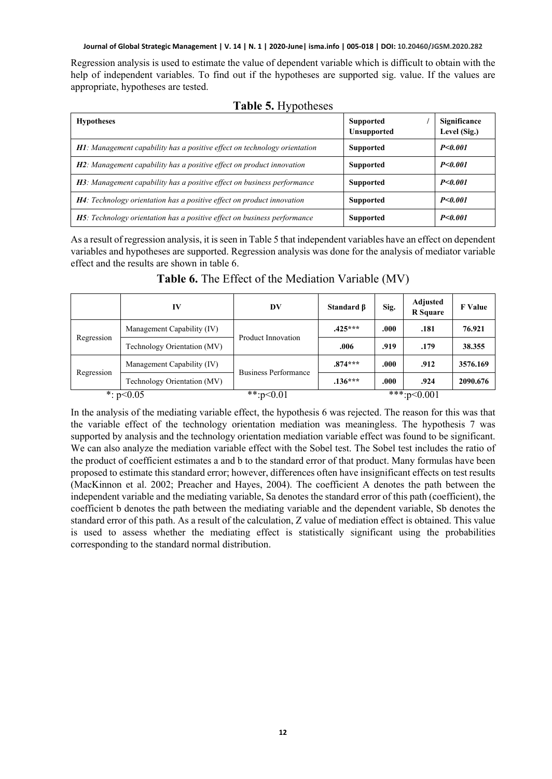Regression analysis is used to estimate the value of dependent variable which is difficult to obtain with the help of independent variables. To find out if the hypotheses are supported sig. value. If the values are appropriate, hypotheses are tested.

| <b>Hypotheses</b>                                                                 | <b>Supported</b><br><b>Unsupported</b> | Significance<br>Level (Sig.) |
|-----------------------------------------------------------------------------------|----------------------------------------|------------------------------|
| <b>H1</b> : Management capability has a positive effect on technology orientation | <b>Supported</b>                       | P < 0.001                    |
| <b>H2</b> : Management capability has a positive effect on product innovation     | <b>Supported</b>                       | P < 0.001                    |
| <b>H3</b> : Management capability has a positive effect on business performance   | <b>Supported</b>                       | P < 0.001                    |
| <b>H4</b> : Technology orientation has a positive effect on product innovation    | <b>Supported</b>                       | P < 0.001                    |
| <b>H5</b> : Technology orientation has a positive effect on business performance  | <b>Supported</b>                       | P < 0.001                    |

#### **Table 5.** Hypotheses

As a result of regression analysis, it is seen in Table 5 that independent variables have an effect on dependent variables and hypotheses are supported. Regression analysis was done for the analysis of mediator variable effect and the results are shown in table 6.

|            | IV                          | DV                          | Standard $\beta$ | Sig. | Adjusted<br><b>R</b> Square | <b>F</b> Value |
|------------|-----------------------------|-----------------------------|------------------|------|-----------------------------|----------------|
| Regression | Management Capability (IV)  | Product Innovation          | $.425***$        | .000 | .181                        | 76.921         |
|            | Technology Orientation (MV) |                             | .006             | .919 | .179                        | 38.355         |
|            | Management Capability (IV)  |                             | $.874***$        | .000 | .912                        | 3576.169       |
| Regression | Technology Orientation (MV) | <b>Business Performance</b> | $.136***$        | .000 | .924                        | 2090.676       |
|            | *: $p<0.05$                 | **: $p<0.01$                |                  |      | $***:p<0.001$               |                |

**Table 6.** The Effect of the Mediation Variable (MV)

In the analysis of the mediating variable effect, the hypothesis 6 was rejected. The reason for this was that the variable effect of the technology orientation mediation was meaningless. The hypothesis 7 was supported by analysis and the technology orientation mediation variable effect was found to be significant. We can also analyze the mediation variable effect with the Sobel test. The Sobel test includes the ratio of the product of coefficient estimates a and b to the standard error of that product. Many formulas have been proposed to estimate this standard error; however, differences often have insignificant effects on test results (MacKinnon et al. 2002; Preacher and Hayes, 2004). The coefficient A denotes the path between the independent variable and the mediating variable, Sa denotes the standard error of this path (coefficient), the coefficient b denotes the path between the mediating variable and the dependent variable, Sb denotes the standard error of this path. As a result of the calculation, Z value of mediation effect is obtained. This value is used to assess whether the mediating effect is statistically significant using the probabilities corresponding to the standard normal distribution.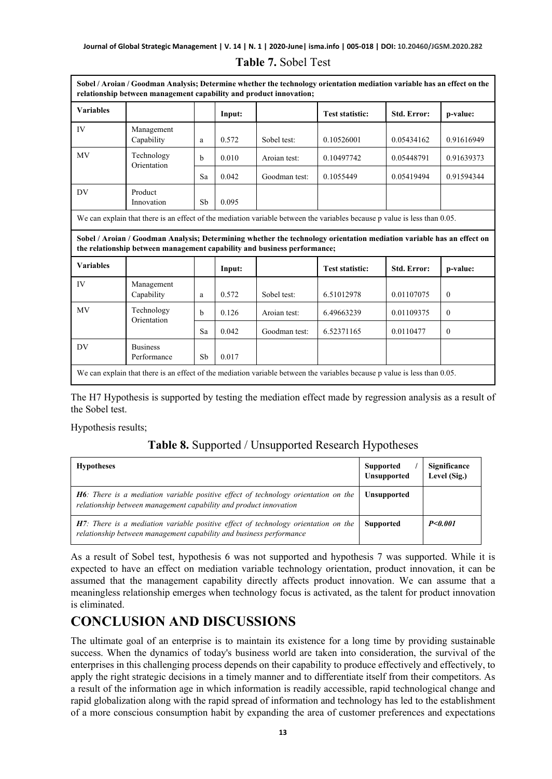|                  | relationship between management capability and product innovation;       |    |        | Sobel / Aroian / Goodman Analysis; Determine whether the technology orientation mediation variable has an effect on the |                                                                                                                           |             |            |
|------------------|--------------------------------------------------------------------------|----|--------|-------------------------------------------------------------------------------------------------------------------------|---------------------------------------------------------------------------------------------------------------------------|-------------|------------|
| <b>Variables</b> |                                                                          |    | Input: |                                                                                                                         | <b>Test statistic:</b>                                                                                                    | Std. Error: | p-value:   |
| IV               | Management<br>Capability                                                 | a  | 0.572  | Sobel test:                                                                                                             | 0.10526001                                                                                                                | 0.05434162  | 0.91616949 |
| <b>MV</b>        | Technology<br>Orientation                                                | h  | 0.010  | Aroian test:                                                                                                            | 0.10497742                                                                                                                | 0.05448791  | 0.91639373 |
|                  |                                                                          | Sa | 0.042  | Goodman test:                                                                                                           | 0.1055449                                                                                                                 | 0.05419494  | 0.91594344 |
| DV               | Product<br>Innovation                                                    | Sb | 0.095  |                                                                                                                         |                                                                                                                           |             |            |
|                  |                                                                          |    |        |                                                                                                                         | We can explain that there is an effect of the mediation variable between the variables because p value is less than 0.05. |             |            |
|                  |                                                                          |    |        |                                                                                                                         |                                                                                                                           |             |            |
|                  | the relationship between management capability and business performance; |    |        |                                                                                                                         | Sobel / Aroian / Goodman Analysis; Determining whether the technology orientation mediation variable has an effect on     |             |            |
| <b>Variables</b> |                                                                          |    | Input: |                                                                                                                         | <b>Test statistic:</b>                                                                                                    | Std. Error: | p-value:   |
| IV               | Management<br>Capability                                                 | a  | 0.572  | Sobel test:                                                                                                             | 6.51012978                                                                                                                | 0.01107075  | $\theta$   |
| MV               | Technology                                                               | b  | 0.126  | Aroian test:                                                                                                            | 6.49663239                                                                                                                | 0.01109375  | $\theta$   |
|                  | Orientation                                                              | Sa | 0.042  | Goodman test:                                                                                                           | 6.52371165                                                                                                                | 0.0110477   | $\theta$   |
| DV               | <b>Business</b><br>Performance                                           | Sb | 0.017  |                                                                                                                         |                                                                                                                           |             |            |

#### **Table 7.** Sobel Test

The H7 Hypothesis is supported by testing the mediation effect made by regression analysis as a result of the Sobel test.

Hypothesis results;

### **Table 8.** Supported / Unsupported Research Hypotheses

| <b>Hypotheses</b>                                                                                                                                                 | <b>Supported</b><br><b>Unsupported</b> | Significance<br>Level (Sig.) |
|-------------------------------------------------------------------------------------------------------------------------------------------------------------------|----------------------------------------|------------------------------|
| <b>H6</b> : There is a mediation variable positive effect of technology orientation on the<br>relationship between management capability and product innovation   | <b>Unsupported</b>                     |                              |
| <b>H7</b> : There is a mediation variable positive effect of technology orientation on the<br>relationship between management capability and business performance | <b>Supported</b>                       | P < 0.001                    |

As a result of Sobel test, hypothesis 6 was not supported and hypothesis 7 was supported. While it is expected to have an effect on mediation variable technology orientation, product innovation, it can be assumed that the management capability directly affects product innovation. We can assume that a meaningless relationship emerges when technology focus is activated, as the talent for product innovation is eliminated.

# **CONCLUSION AND DISCUSSIONS**

The ultimate goal of an enterprise is to maintain its existence for a long time by providing sustainable success. When the dynamics of today's business world are taken into consideration, the survival of the enterprises in this challenging process depends on their capability to produce effectively and effectively, to apply the right strategic decisions in a timely manner and to differentiate itself from their competitors. As a result of the information age in which information is readily accessible, rapid technological change and rapid globalization along with the rapid spread of information and technology has led to the establishment of a more conscious consumption habit by expanding the area of customer preferences and expectations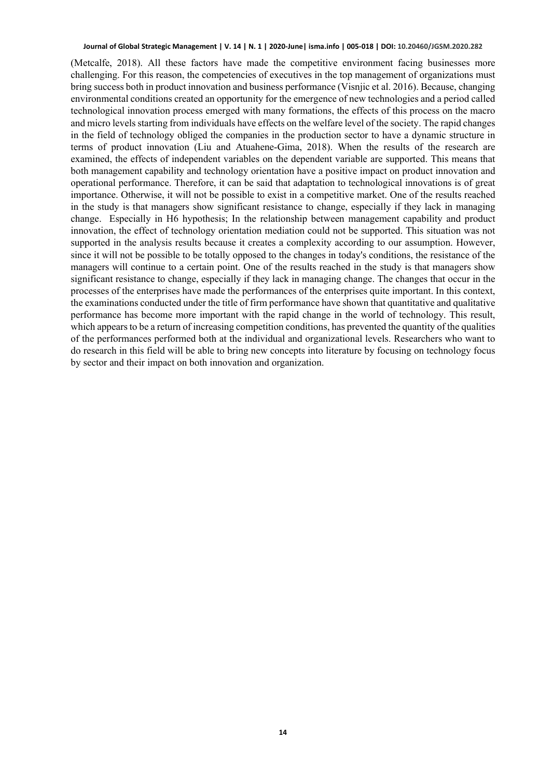(Metcalfe, 2018). All these factors have made the competitive environment facing businesses more challenging. For this reason, the competencies of executives in the top management of organizations must bring success both in product innovation and business performance (Visnjic et al. 2016). Because, changing environmental conditions created an opportunity for the emergence of new technologies and a period called technological innovation process emerged with many formations, the effects of this process on the macro and micro levels starting from individuals have effects on the welfare level of the society. The rapid changes in the field of technology obliged the companies in the production sector to have a dynamic structure in terms of product innovation (Liu and Atuahene-Gima, 2018). When the results of the research are examined, the effects of independent variables on the dependent variable are supported. This means that both management capability and technology orientation have a positive impact on product innovation and operational performance. Therefore, it can be said that adaptation to technological innovations is of great importance. Otherwise, it will not be possible to exist in a competitive market. One of the results reached in the study is that managers show significant resistance to change, especially if they lack in managing change. Especially in H6 hypothesis; In the relationship between management capability and product innovation, the effect of technology orientation mediation could not be supported. This situation was not supported in the analysis results because it creates a complexity according to our assumption. However, since it will not be possible to be totally opposed to the changes in today's conditions, the resistance of the managers will continue to a certain point. One of the results reached in the study is that managers show significant resistance to change, especially if they lack in managing change. The changes that occur in the processes of the enterprises have made the performances of the enterprises quite important. In this context, the examinations conducted under the title of firm performance have shown that quantitative and qualitative performance has become more important with the rapid change in the world of technology. This result, which appears to be a return of increasing competition conditions, has prevented the quantity of the qualities of the performances performed both at the individual and organizational levels. Researchers who want to do research in this field will be able to bring new concepts into literature by focusing on technology focus by sector and their impact on both innovation and organization.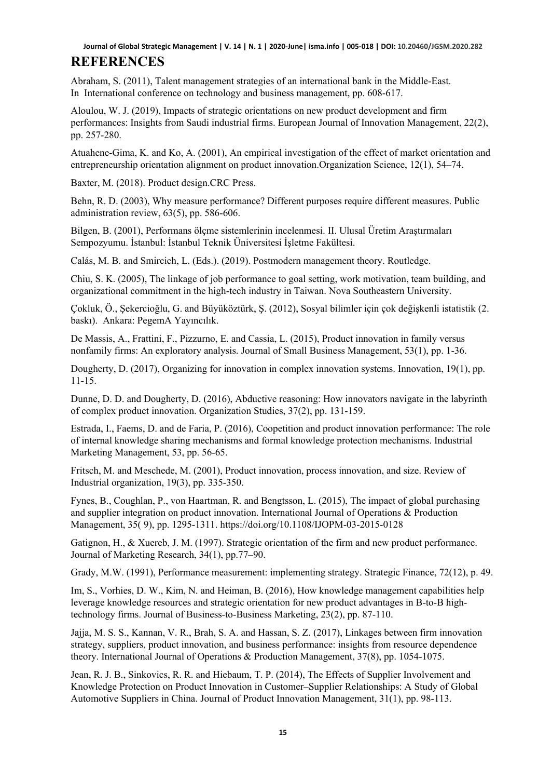# **REFERENCES**

Abraham, S. (2011), Talent management strategies of an international bank in the Middle-East. In International conference on technology and business management, pp. 608-617.

Aloulou, W. J. (2019), Impacts of strategic orientations on new product development and firm performances: Insights from Saudi industrial firms. European Journal of Innovation Management, 22(2), pp. 257-280.

Atuahene-Gima, K. and Ko, A. (2001), An empirical investigation of the effect of market orientation and entrepreneurship orientation alignment on product innovation.Organization Science, 12(1), 54–74.

Baxter, M. (2018). Product design.CRC Press.

Behn, R. D. (2003), Why measure performance? Different purposes require different measures. Public administration review, 63(5), pp. 586-606.

Bilgen, B. (2001), Performans ölçme sistemlerinin incelenmesi. II. Ulusal Üretim Araştırmaları Sempozyumu. İstanbul: İstanbul Teknik Üniversitesi İşletme Fakültesi.

Calás, M. B. and Smircich, L. (Eds.). (2019). Postmodern management theory. Routledge.

Chiu, S. K. (2005), The linkage of job performance to goal setting, work motivation, team building, and organizational commitment in the high-tech industry in Taiwan. Nova Southeastern University.

Çokluk, Ö., Şekercioğlu, G. and Büyüköztürk, Ş. (2012), Sosyal bilimler için çok değişkenli istatistik (2. baskı). Ankara: PegemA Yayıncılık.

De Massis, A., Frattini, F., Pizzurno, E. and Cassia, L. (2015), Product innovation in family versus nonfamily firms: An exploratory analysis. Journal of Small Business Management, 53(1), pp. 1-36.

Dougherty, D. (2017), Organizing for innovation in complex innovation systems. Innovation, 19(1), pp. 11-15.

Dunne, D. D. and Dougherty, D. (2016), Abductive reasoning: How innovators navigate in the labyrinth of complex product innovation. Organization Studies, 37(2), pp. 131-159.

Estrada, I., Faems, D. and de Faria, P. (2016), Coopetition and product innovation performance: The role of internal knowledge sharing mechanisms and formal knowledge protection mechanisms. Industrial Marketing Management, 53, pp. 56-65.

Fritsch, M. and Meschede, M. (2001), Product innovation, process innovation, and size. Review of Industrial organization, 19(3), pp. 335-350.

Fynes, B., Coughlan, P., von Haartman, R. and Bengtsson, L. (2015), The impact of global purchasing and supplier integration on product innovation. International Journal of Operations & Production Management, 35( 9), pp. 1295-1311. https://doi.org/10.1108/IJOPM-03-2015-0128

Gatignon, H., & Xuereb, J. M. (1997). Strategic orientation of the firm and new product performance. Journal of Marketing Research, 34(1), pp.77–90.

Grady, M.W. (1991), Performance measurement: implementing strategy. Strategic Finance, 72(12), p. 49.

Im, S., Vorhies, D. W., Kim, N. and Heiman, B. (2016), How knowledge management capabilities help leverage knowledge resources and strategic orientation for new product advantages in B-to-B hightechnology firms. Journal of Business-to-Business Marketing, 23(2), pp. 87-110.

Jajja, M. S. S., Kannan, V. R., Brah, S. A. and Hassan, S. Z. (2017), Linkages between firm innovation strategy, suppliers, product innovation, and business performance: insights from resource dependence theory. International Journal of Operations & Production Management, 37(8), pp. 1054-1075.

Jean, R. J. B., Sinkovics, R. R. and Hiebaum, T. P. (2014), The Effects of Supplier Involvement and Knowledge Protection on Product Innovation in Customer–Supplier Relationships: A Study of Global Automotive Suppliers in China. Journal of Product Innovation Management, 31(1), pp. 98-113.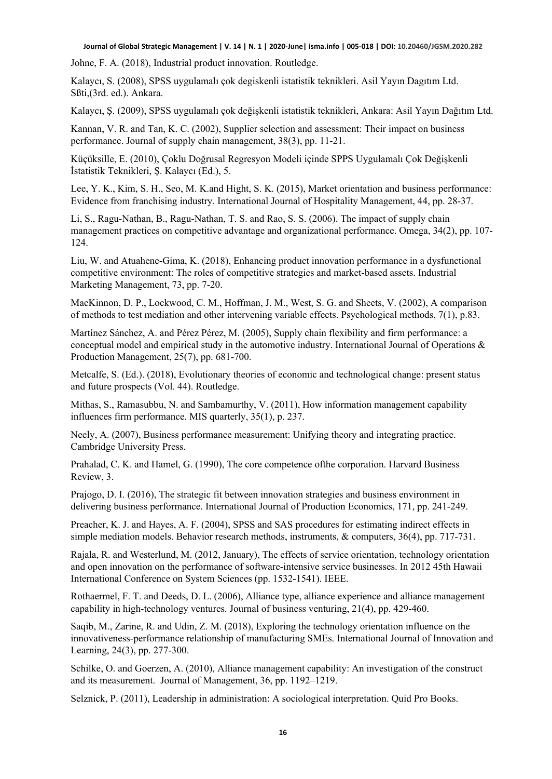Johne, F. A. (2018), Industrial product innovation. Routledge.

Kalaycı, S. (2008), SPSS uygulamalı çok degiskenli istatistik teknikleri. Asil Yayın Dagıtım Ltd. Sßti,(3rd. ed.). Ankara.

Kalaycı, Ş. (2009), SPSS uygulamalı çok değişkenli istatistik teknikleri, Ankara: Asil Yayın Dağıtım Ltd.

Kannan, V. R. and Tan, K. C. (2002), Supplier selection and assessment: Their impact on business performance. Journal of supply chain management, 38(3), pp. 11-21.

Küçüksille, E. (2010), Çoklu Doğrusal Regresyon Modeli içinde SPPS Uygulamalı Çok Değişkenli İstatistik Teknikleri, Ş. Kalaycı (Ed.), 5.

Lee, Y. K., Kim, S. H., Seo, M. K.and Hight, S. K. (2015), Market orientation and business performance: Evidence from franchising industry. International Journal of Hospitality Management, 44, pp. 28-37.

Li, S., Ragu-Nathan, B., Ragu-Nathan, T. S. and Rao, S. S. (2006). The impact of supply chain management practices on competitive advantage and organizational performance. Omega, 34(2), pp. 107- 124.

Liu, W. and Atuahene-Gima, K. (2018), Enhancing product innovation performance in a dysfunctional competitive environment: The roles of competitive strategies and market-based assets. Industrial Marketing Management, 73, pp. 7-20.

MacKinnon, D. P., Lockwood, C. M., Hoffman, J. M., West, S. G. and Sheets, V. (2002), A comparison of methods to test mediation and other intervening variable effects. Psychological methods, 7(1), p.83.

Martínez Sánchez, A. and Pérez Pérez, M. (2005), Supply chain flexibility and firm performance: a conceptual model and empirical study in the automotive industry. International Journal of Operations & Production Management, 25(7), pp. 681-700.

Metcalfe, S. (Ed.). (2018), Evolutionary theories of economic and technological change: present status and future prospects (Vol. 44). Routledge.

Mithas, S., Ramasubbu, N. and Sambamurthy, V. (2011), How information management capability influences firm performance. MIS quarterly, 35(1), p. 237.

Neely, A. (2007), Business performance measurement: Unifying theory and integrating practice. Cambridge University Press.

Prahalad, C. K. and Hamel, G. (1990), The core competence ofthe corporation. Harvard Business Review, 3.

Prajogo, D. I. (2016), The strategic fit between innovation strategies and business environment in delivering business performance. International Journal of Production Economics, 171, pp. 241-249.

Preacher, K. J. and Hayes, A. F. (2004), SPSS and SAS procedures for estimating indirect effects in simple mediation models. Behavior research methods, instruments, & computers, 36(4), pp. 717-731.

Rajala, R. and Westerlund, M. (2012, January), The effects of service orientation, technology orientation and open innovation on the performance of software-intensive service businesses. In 2012 45th Hawaii International Conference on System Sciences (pp. 1532-1541). IEEE.

Rothaermel, F. T. and Deeds, D. L. (2006), Alliance type, alliance experience and alliance management capability in high-technology ventures. Journal of business venturing, 21(4), pp. 429-460.

Saqib, M., Zarine, R. and Udin, Z. M. (2018), Exploring the technology orientation influence on the innovativeness-performance relationship of manufacturing SMEs. International Journal of Innovation and Learning, 24(3), pp. 277-300.

Schilke, O. and Goerzen, A. (2010), Alliance management capability: An investigation of the construct and its measurement. Journal of Management, 36, pp. 1192–1219.

Selznick, P. (2011), Leadership in administration: A sociological interpretation. Quid Pro Books.